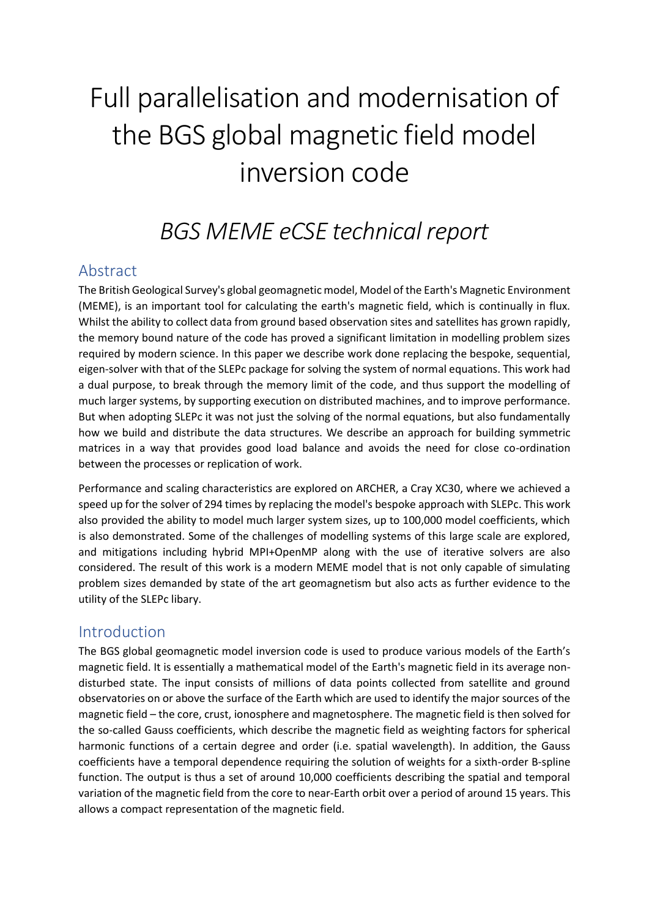# Full parallelisation and modernisation of the BGS global magnetic field model inversion code

# *BGS MEME eCSE technical report*

#### Abstract

The British Geological Survey's global geomagnetic model, Model of the Earth's Magnetic Environment (MEME), is an important tool for calculating the earth's magnetic field, which is continually in flux. Whilst the ability to collect data from ground based observation sites and satellites has grown rapidly, the memory bound nature of the code has proved a significant limitation in modelling problem sizes required by modern science. In this paper we describe work done replacing the bespoke, sequential, eigen-solver with that of the SLEPc package for solving the system of normal equations. This work had a dual purpose, to break through the memory limit of the code, and thus support the modelling of much larger systems, by supporting execution on distributed machines, and to improve performance. But when adopting SLEPc it was not just the solving of the normal equations, but also fundamentally how we build and distribute the data structures. We describe an approach for building symmetric matrices in a way that provides good load balance and avoids the need for close co-ordination between the processes or replication of work.

Performance and scaling characteristics are explored on ARCHER, a Cray XC30, where we achieved a speed up for the solver of 294 times by replacing the model's bespoke approach with SLEPc. This work also provided the ability to model much larger system sizes, up to 100,000 model coefficients, which is also demonstrated. Some of the challenges of modelling systems of this large scale are explored, and mitigations including hybrid MPI+OpenMP along with the use of iterative solvers are also considered. The result of this work is a modern MEME model that is not only capable of simulating problem sizes demanded by state of the art geomagnetism but also acts as further evidence to the utility of the SLEPc libary.

#### Introduction

The BGS global geomagnetic model inversion code is used to produce various models of the Earth's magnetic field. It is essentially a mathematical model of the Earth's magnetic field in its average nondisturbed state. The input consists of millions of data points collected from satellite and ground observatories on or above the surface of the Earth which are used to identify the major sources of the magnetic field – the core, crust, ionosphere and magnetosphere. The magnetic field is then solved for the so-called Gauss coefficients, which describe the magnetic field as weighting factors for spherical harmonic functions of a certain degree and order (i.e. spatial wavelength). In addition, the Gauss coefficients have a temporal dependence requiring the solution of weights for a sixth-order B-spline function. The output is thus a set of around 10,000 coefficients describing the spatial and temporal variation of the magnetic field from the core to near-Earth orbit over a period of around 15 years. This allows a compact representation of the magnetic field.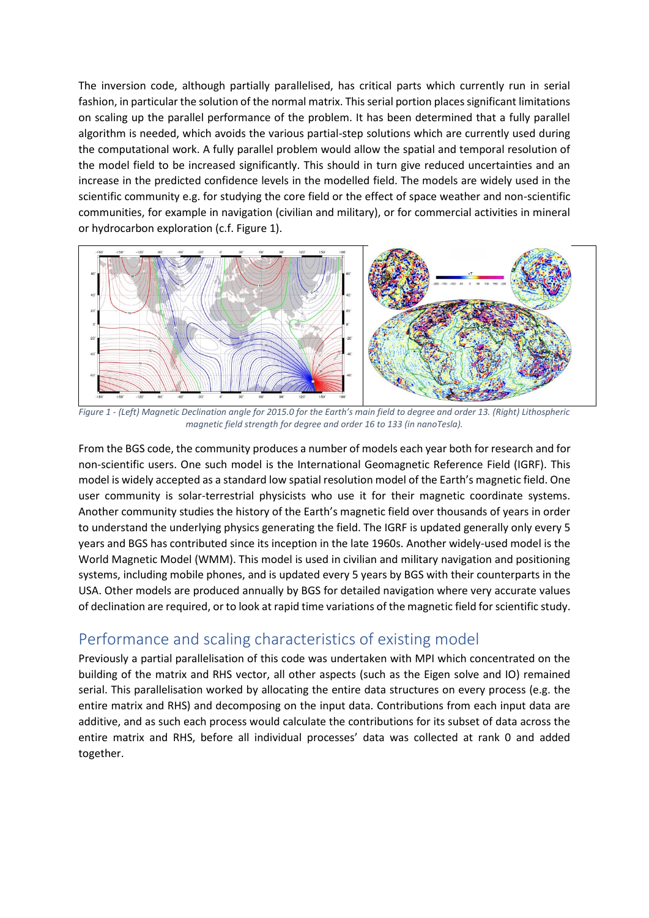The inversion code, although partially parallelised, has critical parts which currently run in serial fashion, in particular the solution of the normal matrix. This serial portion places significant limitations on scaling up the parallel performance of the problem. It has been determined that a fully parallel algorithm is needed, which avoids the various partial-step solutions which are currently used during the computational work. A fully parallel problem would allow the spatial and temporal resolution of the model field to be increased significantly. This should in turn give reduced uncertainties and an increase in the predicted confidence levels in the modelled field. The models are widely used in the scientific community e.g. for studying the core field or the effect of space weather and non-scientific communities, for example in navigation (civilian and military), or for commercial activities in mineral or hydrocarbon exploration (c.f. Figure 1).



*Figure 1 - (Left) Magnetic Declination angle for 2015.0 for the Earth's main field to degree and order 13. (Right) Lithospheric magnetic field strength for degree and order 16 to 133 (in nanoTesla).*

From the BGS code, the community produces a number of models each year both for research and for non-scientific users. One such model is the International Geomagnetic Reference Field (IGRF). This model is widely accepted as a standard low spatial resolution model of the Earth's magnetic field. One user community is solar-terrestrial physicists who use it for their magnetic coordinate systems. Another community studies the history of the Earth's magnetic field over thousands of years in order to understand the underlying physics generating the field. The IGRF is updated generally only every 5 years and BGS has contributed since its inception in the late 1960s. Another widely-used model is the World Magnetic Model (WMM). This model is used in civilian and military navigation and positioning systems, including mobile phones, and is updated every 5 years by BGS with their counterparts in the USA. Other models are produced annually by BGS for detailed navigation where very accurate values of declination are required, or to look at rapid time variations of the magnetic field for scientific study.

#### Performance and scaling characteristics of existing model

Previously a partial parallelisation of this code was undertaken with MPI which concentrated on the building of the matrix and RHS vector, all other aspects (such as the Eigen solve and IO) remained serial. This parallelisation worked by allocating the entire data structures on every process (e.g. the entire matrix and RHS) and decomposing on the input data. Contributions from each input data are additive, and as such each process would calculate the contributions for its subset of data across the entire matrix and RHS, before all individual processes' data was collected at rank 0 and added together.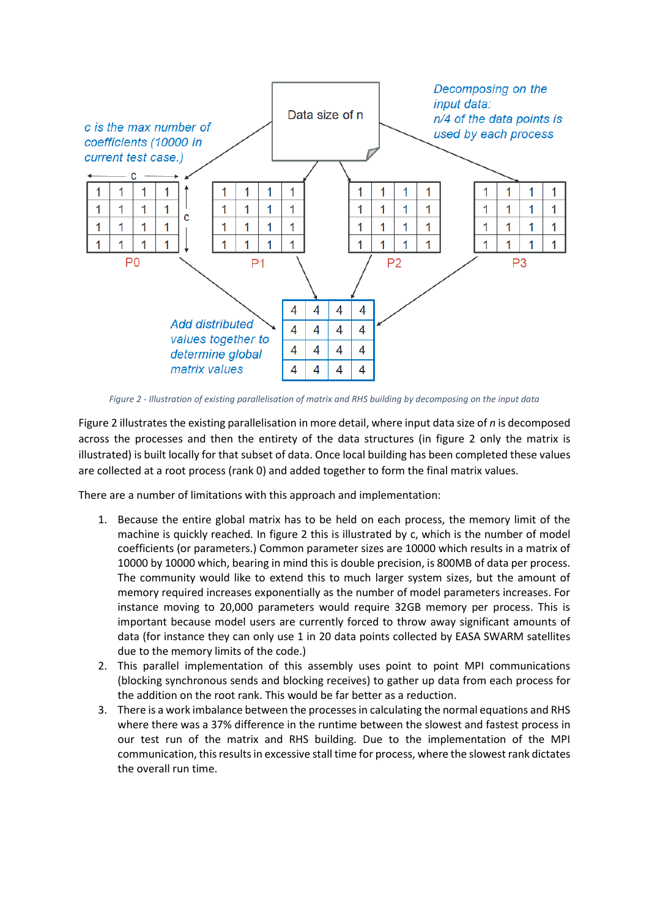

*Figure 2 - Illustration of existing parallelisation of matrix and RHS building by decomposing on the input data*

Figure 2 illustrates the existing parallelisation in more detail, where input data size of *n* is decomposed across the processes and then the entirety of the data structures (in figure 2 only the matrix is illustrated) is built locally for that subset of data. Once local building has been completed these values are collected at a root process (rank 0) and added together to form the final matrix values.

There are a number of limitations with this approach and implementation:

- 1. Because the entire global matrix has to be held on each process, the memory limit of the machine is quickly reached. In figure 2 this is illustrated by c, which is the number of model coefficients (or parameters.) Common parameter sizes are 10000 which results in a matrix of 10000 by 10000 which, bearing in mind this is double precision, is 800MB of data per process. The community would like to extend this to much larger system sizes, but the amount of memory required increases exponentially as the number of model parameters increases. For instance moving to 20,000 parameters would require 32GB memory per process. This is important because model users are currently forced to throw away significant amounts of data (for instance they can only use 1 in 20 data points collected by EASA SWARM satellites due to the memory limits of the code.)
- 2. This parallel implementation of this assembly uses point to point MPI communications (blocking synchronous sends and blocking receives) to gather up data from each process for the addition on the root rank. This would be far better as a reduction.
- 3. There is a work imbalance between the processes in calculating the normal equations and RHS where there was a 37% difference in the runtime between the slowest and fastest process in our test run of the matrix and RHS building. Due to the implementation of the MPI communication, this results in excessive stall time for process, where the slowest rank dictates the overall run time.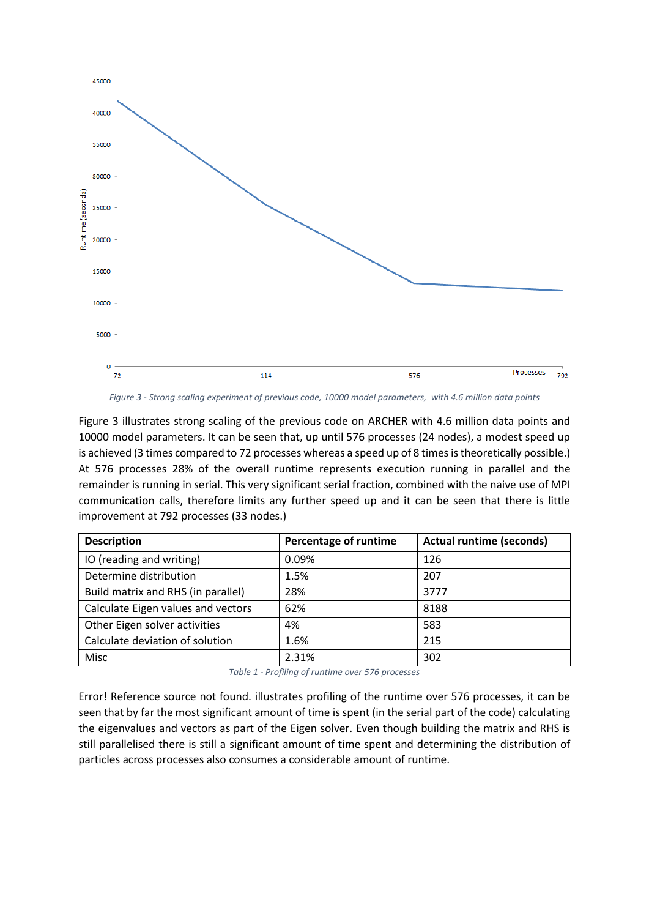

*Figure 3 - Strong scaling experiment of previous code, 10000 model parameters, with 4.6 million data points*

Figure 3 illustrates strong scaling of the previous code on ARCHER with 4.6 million data points and 10000 model parameters. It can be seen that, up until 576 processes (24 nodes), a modest speed up is achieved (3 times compared to 72 processes whereas a speed up of 8 times is theoretically possible.) At 576 processes 28% of the overall runtime represents execution running in parallel and the remainder is running in serial. This very significant serial fraction, combined with the naive use of MPI communication calls, therefore limits any further speed up and it can be seen that there is little improvement at 792 processes (33 nodes.)

| <b>Description</b>                 | Percentage of runtime | <b>Actual runtime (seconds)</b> |
|------------------------------------|-----------------------|---------------------------------|
| IO (reading and writing)           | 0.09%                 | 126                             |
| Determine distribution             | 1.5%                  | 207                             |
| Build matrix and RHS (in parallel) | 28%                   | 3777                            |
| Calculate Eigen values and vectors | 62%                   | 8188                            |
| Other Eigen solver activities      | 4%                    | 583                             |
| Calculate deviation of solution    | 1.6%                  | 215                             |
| Misc                               | 2.31%                 | 302                             |

*Table 1 - Profiling of runtime over 576 processes*

Error! Reference source not found. illustrates profiling of the runtime over 576 processes, it can be seen that by far the most significant amount of time is spent (in the serial part of the code) calculating the eigenvalues and vectors as part of the Eigen solver. Even though building the matrix and RHS is still parallelised there is still a significant amount of time spent and determining the distribution of particles across processes also consumes a considerable amount of runtime.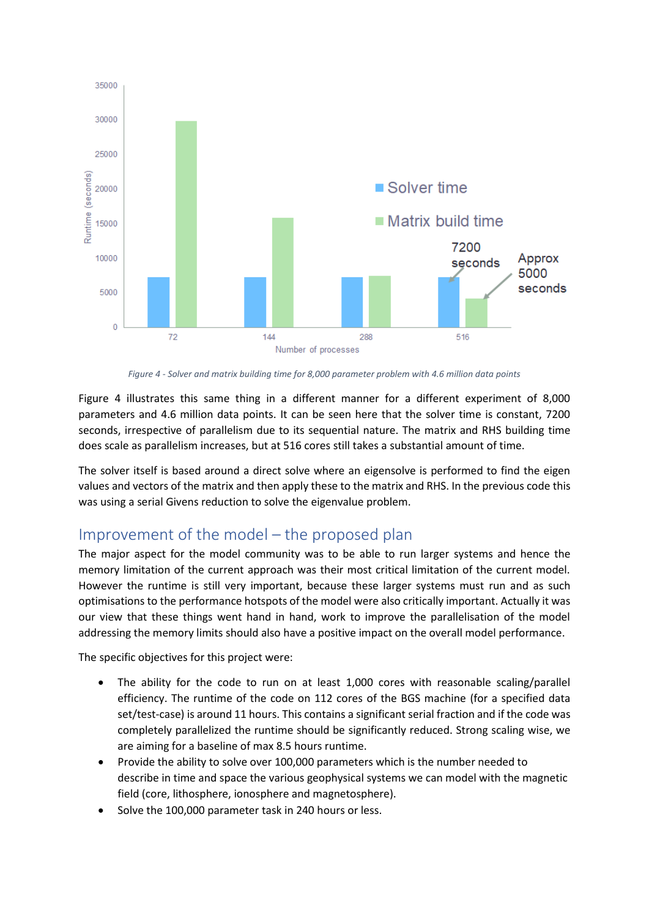

*Figure 4 - Solver and matrix building time for 8,000 parameter problem with 4.6 million data points*

Figure 4 illustrates this same thing in a different manner for a different experiment of 8,000 parameters and 4.6 million data points. It can be seen here that the solver time is constant, 7200 seconds, irrespective of parallelism due to its sequential nature. The matrix and RHS building time does scale as parallelism increases, but at 516 cores still takes a substantial amount of time.

The solver itself is based around a direct solve where an eigensolve is performed to find the eigen values and vectors of the matrix and then apply these to the matrix and RHS. In the previous code this was using a serial Givens reduction to solve the eigenvalue problem.

#### Improvement of the model – the proposed plan

The major aspect for the model community was to be able to run larger systems and hence the memory limitation of the current approach was their most critical limitation of the current model. However the runtime is still very important, because these larger systems must run and as such optimisations to the performance hotspots of the model were also critically important. Actually it was our view that these things went hand in hand, work to improve the parallelisation of the model addressing the memory limits should also have a positive impact on the overall model performance.

The specific objectives for this project were:

- The ability for the code to run on at least 1,000 cores with reasonable scaling/parallel efficiency. The runtime of the code on 112 cores of the BGS machine (for a specified data set/test-case) is around 11 hours. This contains a significant serial fraction and if the code was completely parallelized the runtime should be significantly reduced. Strong scaling wise, we are aiming for a baseline of max 8.5 hours runtime.
- Provide the ability to solve over 100,000 parameters which is the number needed to describe in time and space the various geophysical systems we can model with the magnetic field (core, lithosphere, ionosphere and magnetosphere).
- Solve the 100,000 parameter task in 240 hours or less.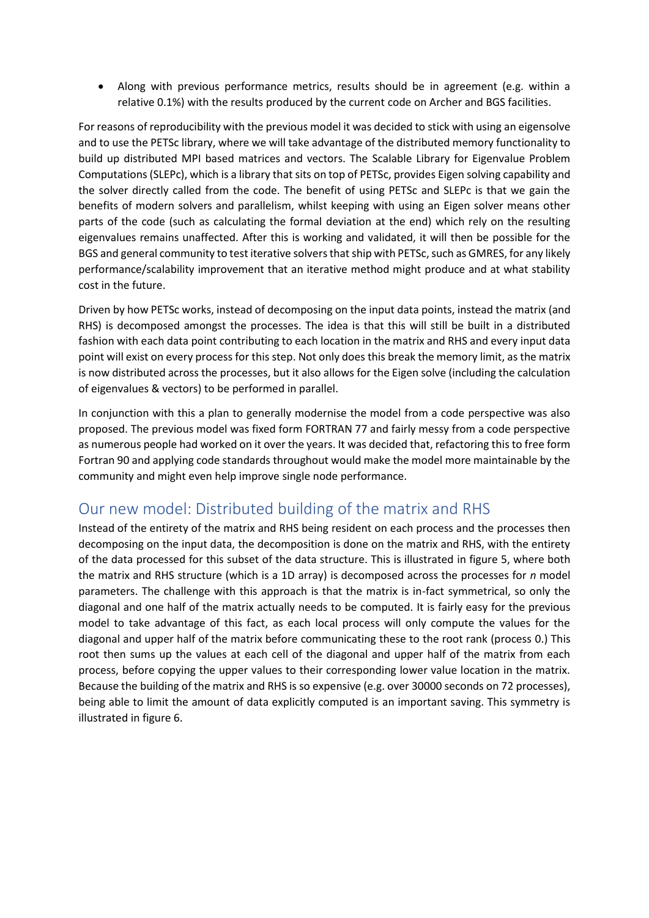• Along with previous performance metrics, results should be in agreement (e.g. within a relative 0.1%) with the results produced by the current code on Archer and BGS facilities.

For reasons of reproducibility with the previous model it was decided to stick with using an eigensolve and to use the PETSc library, where we will take advantage of the distributed memory functionality to build up distributed MPI based matrices and vectors. The Scalable Library for Eigenvalue Problem Computations (SLEPc), which is a library that sits on top of PETSc, provides Eigen solving capability and the solver directly called from the code. The benefit of using PETSc and SLEPc is that we gain the benefits of modern solvers and parallelism, whilst keeping with using an Eigen solver means other parts of the code (such as calculating the formal deviation at the end) which rely on the resulting eigenvalues remains unaffected. After this is working and validated, it will then be possible for the BGS and general community to test iterative solvers that ship with PETSc, such as GMRES, for any likely performance/scalability improvement that an iterative method might produce and at what stability cost in the future.

Driven by how PETSc works, instead of decomposing on the input data points, instead the matrix (and RHS) is decomposed amongst the processes. The idea is that this will still be built in a distributed fashion with each data point contributing to each location in the matrix and RHS and every input data point will exist on every process for this step. Not only does this break the memory limit, as the matrix is now distributed across the processes, but it also allows for the Eigen solve (including the calculation of eigenvalues & vectors) to be performed in parallel.

In conjunction with this a plan to generally modernise the model from a code perspective was also proposed. The previous model was fixed form FORTRAN 77 and fairly messy from a code perspective as numerous people had worked on it over the years. It was decided that, refactoring this to free form Fortran 90 and applying code standards throughout would make the model more maintainable by the community and might even help improve single node performance.

#### Our new model: Distributed building of the matrix and RHS

Instead of the entirety of the matrix and RHS being resident on each process and the processes then decomposing on the input data, the decomposition is done on the matrix and RHS, with the entirety of the data processed for this subset of the data structure. This is illustrated in figure 5, where both the matrix and RHS structure (which is a 1D array) is decomposed across the processes for *n* model parameters. The challenge with this approach is that the matrix is in-fact symmetrical, so only the diagonal and one half of the matrix actually needs to be computed. It is fairly easy for the previous model to take advantage of this fact, as each local process will only compute the values for the diagonal and upper half of the matrix before communicating these to the root rank (process 0.) This root then sums up the values at each cell of the diagonal and upper half of the matrix from each process, before copying the upper values to their corresponding lower value location in the matrix. Because the building of the matrix and RHS is so expensive (e.g. over 30000 seconds on 72 processes), being able to limit the amount of data explicitly computed is an important saving. This symmetry is illustrated in figure 6.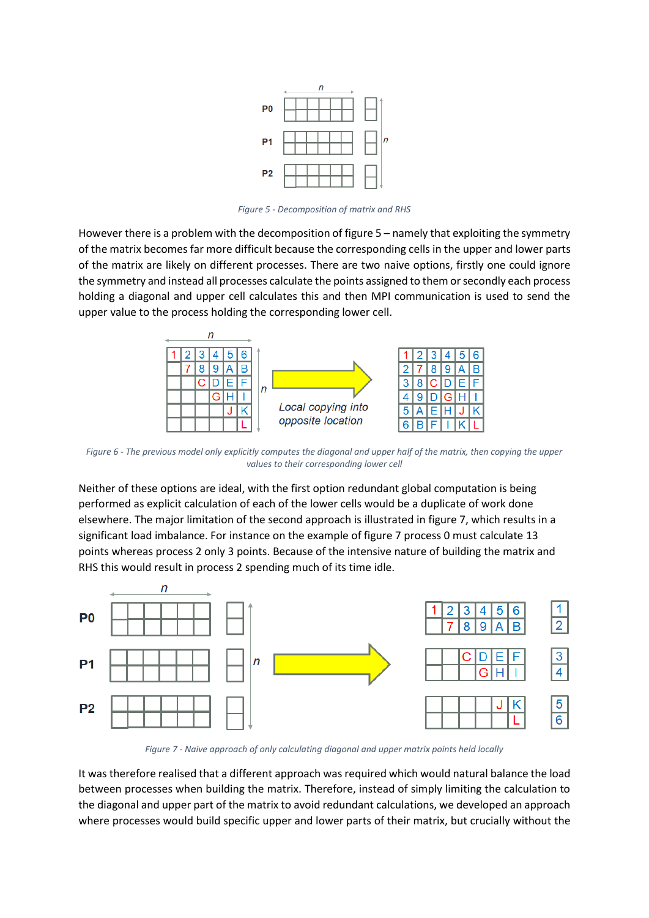

*Figure 5 - Decomposition of matrix and RHS*

However there is a problem with the decomposition of figure 5 – namely that exploiting the symmetry of the matrix becomes far more difficult because the corresponding cells in the upper and lower parts of the matrix are likely on different processes. There are two naive options, firstly one could ignore the symmetry and instead all processes calculate the points assigned to them or secondly each process holding a diagonal and upper cell calculates this and then MPI communication is used to send the upper value to the process holding the corresponding lower cell.



*Figure 6 - The previous model only explicitly computes the diagonal and upper half of the matrix, then copying the upper values to their corresponding lower cell*

Neither of these options are ideal, with the first option redundant global computation is being performed as explicit calculation of each of the lower cells would be a duplicate of work done elsewhere. The major limitation of the second approach is illustrated in figure 7, which results in a significant load imbalance. For instance on the example of figure 7 process 0 must calculate 13 points whereas process 2 only 3 points. Because of the intensive nature of building the matrix and RHS this would result in process 2 spending much of its time idle.



*Figure 7 - Naive approach of only calculating diagonal and upper matrix points held locally*

It was therefore realised that a different approach was required which would natural balance the load between processes when building the matrix. Therefore, instead of simply limiting the calculation to the diagonal and upper part of the matrix to avoid redundant calculations, we developed an approach where processes would build specific upper and lower parts of their matrix, but crucially without the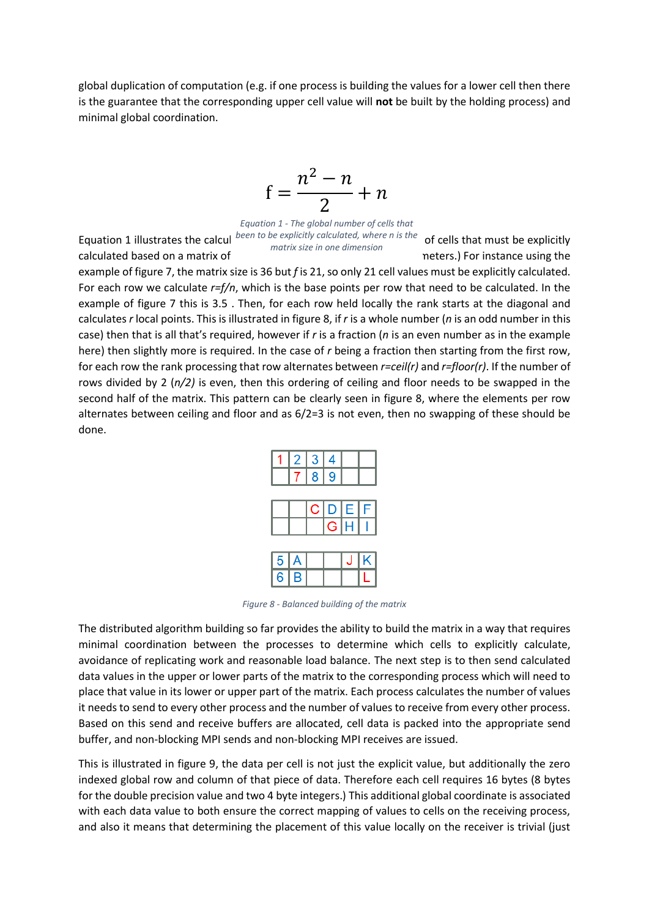global duplication of computation (e.g. if one process is building the values for a lower cell then there is the guarantee that the corresponding upper cell value will **not** be built by the holding process) and minimal global coordination.

$$
f = \frac{n^2 - n}{2} + n
$$

Equation 1 illustrates the calcul<sup>been to be explicitly calculated, where n is the **of cells that must be explicitly**</sup> *Equation 1 - The global number of cells that matrix size in one dimension*

calculated based on a matrix of *n* by *n* by *n* (corresponding to *n* meters.) For instance using the

example of figure 7, the matrix size is 36 but *f* is 21, so only 21 cell values must be explicitly calculated. For each row we calculate *r=f/n*, which is the base points per row that need to be calculated. In the example of figure 7 this is 3.5 . Then, for each row held locally the rank starts at the diagonal and calculates *r* local points. This is illustrated in figure 8, if *r* is a whole number (*n* is an odd number in this case) then that is all that's required, however if *r* is a fraction (*n* is an even number as in the example here) then slightly more is required. In the case of *r* being a fraction then starting from the first row, for each row the rank processing that row alternates between *r=ceil(r)* and *r=floor(r)*. If the number of rows divided by 2 (*n/2)* is even, then this ordering of ceiling and floor needs to be swapped in the second half of the matrix. This pattern can be clearly seen in figure 8, where the elements per row alternates between ceiling and floor and as 6/2=3 is not even, then no swapping of these should be done.



*Figure 8 - Balanced building of the matrix*

The distributed algorithm building so far provides the ability to build the matrix in a way that requires minimal coordination between the processes to determine which cells to explicitly calculate, avoidance of replicating work and reasonable load balance. The next step is to then send calculated data values in the upper or lower parts of the matrix to the corresponding process which will need to place that value in its lower or upper part of the matrix. Each process calculates the number of values it needs to send to every other process and the number of values to receive from every other process. Based on this send and receive buffers are allocated, cell data is packed into the appropriate send buffer, and non-blocking MPI sends and non-blocking MPI receives are issued.

This is illustrated in figure 9, the data per cell is not just the explicit value, but additionally the zero indexed global row and column of that piece of data. Therefore each cell requires 16 bytes (8 bytes for the double precision value and two 4 byte integers.) This additional global coordinate is associated with each data value to both ensure the correct mapping of values to cells on the receiving process, and also it means that determining the placement of this value locally on the receiver is trivial (just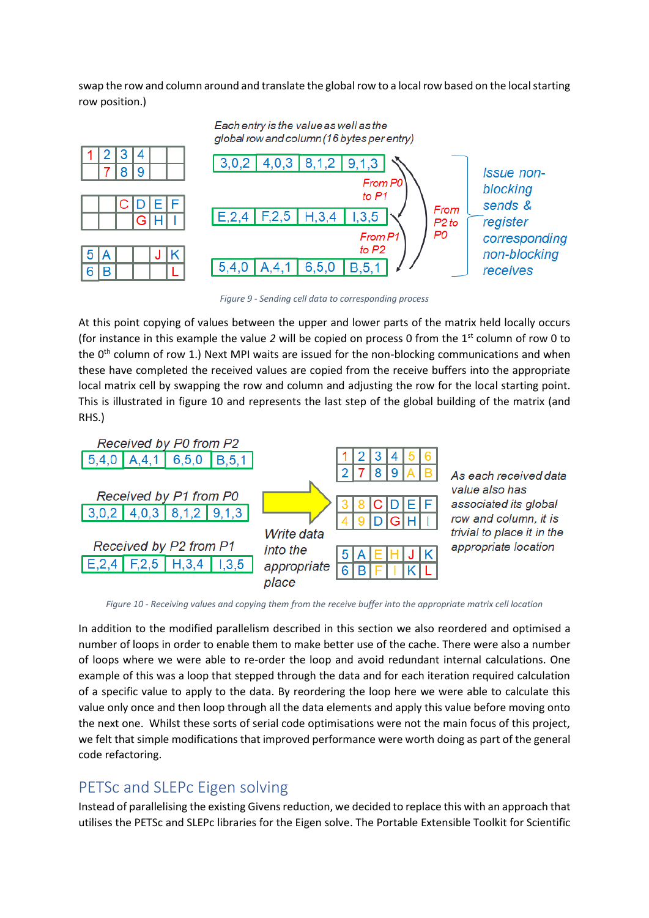swap the row and column around and translate the global row to a local row based on the local starting row position.)



*Figure 9 - Sending cell data to corresponding process*

At this point copying of values between the upper and lower parts of the matrix held locally occurs (for instance in this example the value *2* will be copied on process 0 from the 1st column of row 0 to the  $0<sup>th</sup>$  column of row 1.) Next MPI waits are issued for the non-blocking communications and when these have completed the received values are copied from the receive buffers into the appropriate local matrix cell by swapping the row and column and adjusting the row for the local starting point. This is illustrated in figure 10 and represents the last step of the global building of the matrix (and RHS.)



*Figure 10 - Receiving values and copying them from the receive buffer into the appropriate matrix cell location*

In addition to the modified parallelism described in this section we also reordered and optimised a number of loops in order to enable them to make better use of the cache. There were also a number of loops where we were able to re-order the loop and avoid redundant internal calculations. One example of this was a loop that stepped through the data and for each iteration required calculation of a specific value to apply to the data. By reordering the loop here we were able to calculate this value only once and then loop through all the data elements and apply this value before moving onto the next one. Whilst these sorts of serial code optimisations were not the main focus of this project, we felt that simple modifications that improved performance were worth doing as part of the general code refactoring.

#### PETSc and SLEPc Eigen solving

Instead of parallelising the existing Givens reduction, we decided to replace this with an approach that utilises the PETSc and SLEPc libraries for the Eigen solve. The Portable Extensible Toolkit for Scientific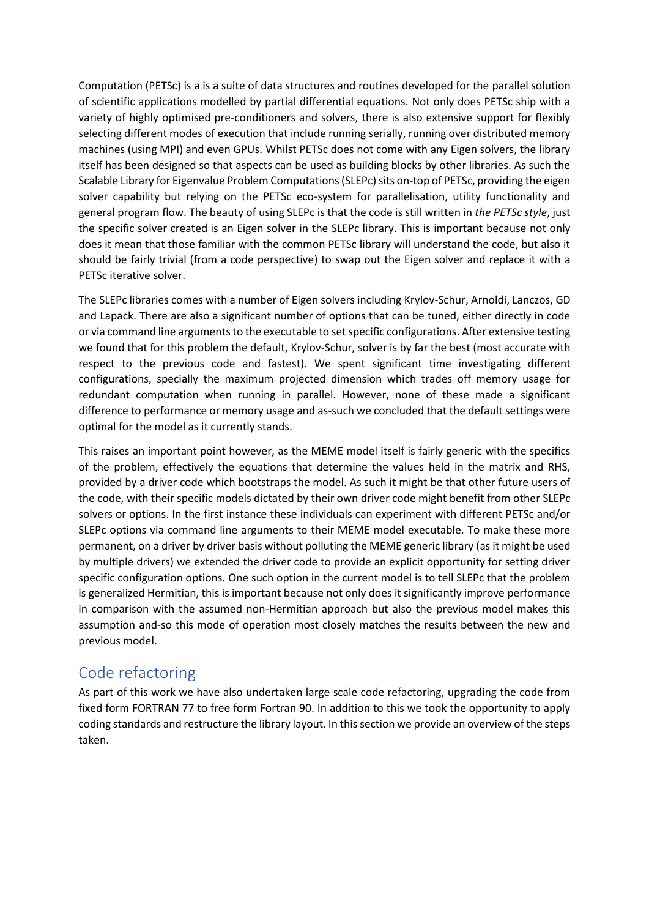Computation (PETSc) is a is a suite of data structures and routines developed for the parallel solution of scientific applications modelled by partial differential equations. Not only does PETSc ship with a variety of highly optimised pre-conditioners and solvers, there is also extensive support for flexibly selecting different modes of execution that include running serially, running over distributed memory machines (using MPI) and even GPUs. Whilst PETSc does not come with any Eigen solvers, the library itself has been designed so that aspects can be used as building blocks by other libraries. As such the Scalable Library for Eigenvalue Problem Computations (SLEPc) sits on-top of PETSc, providing the eigen solver capability but relying on the PETSc eco-system for parallelisation, utility functionality and general program flow. The beauty of using SLEPc is that the code is still written in *the PETSc style*, just the specific solver created is an Eigen solver in the SLEPc library. This is important because not only does it mean that those familiar with the common PETSc library will understand the code, but also it should be fairly trivial (from a code perspective) to swap out the Eigen solver and replace it with a PETSc iterative solver.

The SLEPc libraries comes with a number of Eigen solvers including Krylov-Schur, Arnoldi, Lanczos, GD and Lapack. There are also a significant number of options that can be tuned, either directly in code or via command line arguments to the executable to set specific configurations. After extensive testing we found that for this problem the default, Krylov-Schur, solver is by far the best (most accurate with respect to the previous code and fastest). We spent significant time investigating different configurations, specially the maximum projected dimension which trades off memory usage for redundant computation when running in parallel. However, none of these made a significant difference to performance or memory usage and as-such we concluded that the default settings were optimal for the model as it currently stands.

This raises an important point however, as the MEME model itself is fairly generic with the specifics of the problem, effectively the equations that determine the values held in the matrix and RHS, provided by a driver code which bootstraps the model. As such it might be that other future users of the code, with their specific models dictated by their own driver code might benefit from other SLEPc solvers or options. In the first instance these individuals can experiment with different PETSc and/or SLEPc options via command line arguments to their MEME model executable. To make these more permanent, on a driver by driver basis without polluting the MEME generic library (as it might be used by multiple drivers) we extended the driver code to provide an explicit opportunity for setting driver specific configuration options. One such option in the current model is to tell SLEPc that the problem is generalized Hermitian, this is important because not only does it significantly improve performance in comparison with the assumed non-Hermitian approach but also the previous model makes this assumption and-so this mode of operation most closely matches the results between the new and previous model.

#### Code refactoring

As part of this work we have also undertaken large scale code refactoring, upgrading the code from fixed form FORTRAN 77 to free form Fortran 90. In addition to this we took the opportunity to apply coding standards and restructure the library layout. In this section we provide an overview of the steps taken.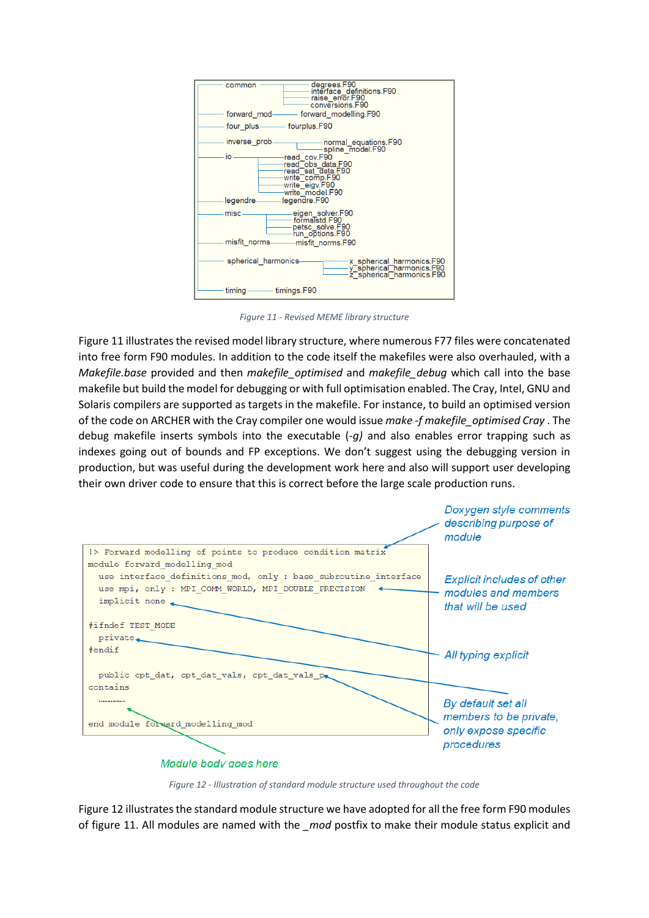| degrees.F90<br>common<br>interface definitions.F90<br>raise error.F90<br>conversions.F90                                                                                                |
|-----------------------------------------------------------------------------------------------------------------------------------------------------------------------------------------|
| forward modelling.F90<br>forward mod-                                                                                                                                                   |
|                                                                                                                                                                                         |
| inverse prob<br>normal_equations.F90-<br>spline model.F90                                                                                                                               |
| io<br>read cov.F90<br>read <sup>—</sup> obs data.F90<br>read <sup>-</sup> sat data.F90<br>write <sup>-</sup> comp.F90<br>write_eigv.F90<br>write model.F90<br>legendre.F90<br>legendre- |
|                                                                                                                                                                                         |
| misc-<br>eigen_solver.F90-<br>formalstd.F90<br>petsc_solve.F90<br>run_options.F90                                                                                                       |
| misfit norms<br>misfit norms.F90                                                                                                                                                        |
| spherical harmonics<br>-x_spherical_harmonics.F90<br>-y_spherical <sup>_</sup> harmonics.F90<br>-z_spherical_harmonics.F90                                                              |
| $-$ timings. $F90$<br>timing –                                                                                                                                                          |

*Figure 11 - Revised MEME library structure*

Figure 11 illustrates the revised model library structure, where numerous F77 files were concatenated into free form F90 modules. In addition to the code itself the makefiles were also overhauled, with a *Makefile.base* provided and then *makefile\_optimised* and *makefile\_debug* which call into the base makefile but build the model for debugging or with full optimisation enabled. The Cray, Intel, GNU and Solaris compilers are supported as targets in the makefile. For instance, to build an optimised version of the code on ARCHER with the Cray compiler one would issue *make -f makefile\_optimised Cray* . The debug makefile inserts symbols into the executable (*-g)* and also enables error trapping such as indexes going out of bounds and FP exceptions. We don't suggest using the debugging version in production, but was useful during the development work here and also will support user developing their own driver code to ensure that this is correct before the large scale production runs.



*Figure 12 - Illustration of standard module structure used throughout the code*

Figure 12 illustrates the standard module structure we have adopted for all the free form F90 modules of figure 11. All modules are named with the *mod* postfix to make their module status explicit and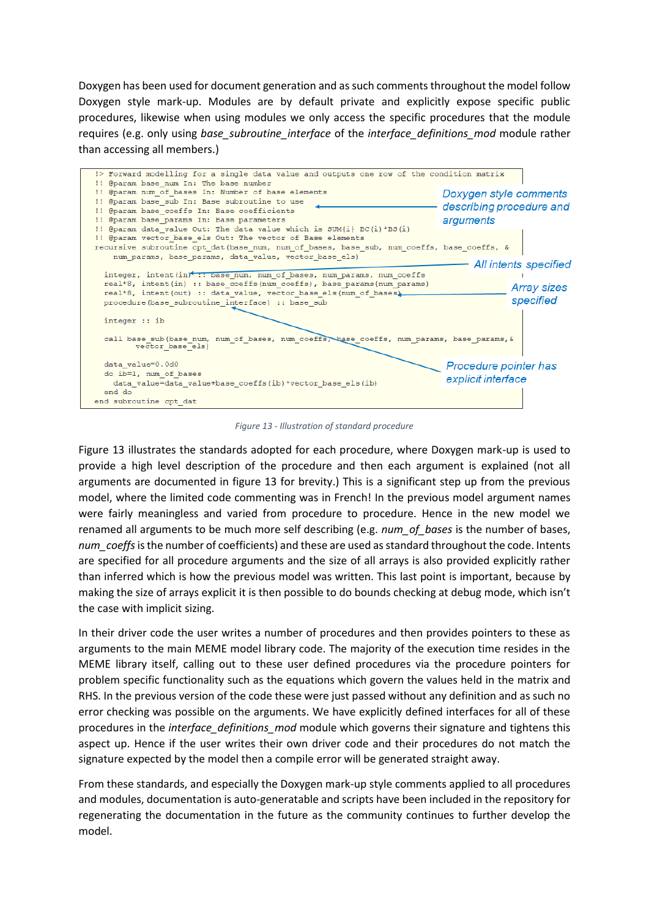Doxygen has been used for document generation and as such comments throughout the model follow Doxygen style mark-up. Modules are by default private and explicitly expose specific public procedures, likewise when using modules we only access the specific procedures that the module requires (e.g. only using *base\_subroutine\_interface* of the *interface\_definitions\_mod* module rather than accessing all members.)



*Figure 13 - Illustration of standard procedure*

Figure 13 illustrates the standards adopted for each procedure, where Doxygen mark-up is used to provide a high level description of the procedure and then each argument is explained (not all arguments are documented in figure 13 for brevity.) This is a significant step up from the previous model, where the limited code commenting was in French! In the previous model argument names were fairly meaningless and varied from procedure to procedure. Hence in the new model we renamed all arguments to be much more self describing (e.g. *num\_of\_bases* is the number of bases, *num\_coeffs*is the number of coefficients) and these are used as standard throughout the code. Intents are specified for all procedure arguments and the size of all arrays is also provided explicitly rather than inferred which is how the previous model was written. This last point is important, because by making the size of arrays explicit it is then possible to do bounds checking at debug mode, which isn't the case with implicit sizing.

In their driver code the user writes a number of procedures and then provides pointers to these as arguments to the main MEME model library code. The majority of the execution time resides in the MEME library itself, calling out to these user defined procedures via the procedure pointers for problem specific functionality such as the equations which govern the values held in the matrix and RHS. In the previous version of the code these were just passed without any definition and as such no error checking was possible on the arguments. We have explicitly defined interfaces for all of these procedures in the *interface\_definitions\_mod* module which governs their signature and tightens this aspect up. Hence if the user writes their own driver code and their procedures do not match the signature expected by the model then a compile error will be generated straight away.

From these standards, and especially the Doxygen mark-up style comments applied to all procedures and modules, documentation is auto-generatable and scripts have been included in the repository for regenerating the documentation in the future as the community continues to further develop the model.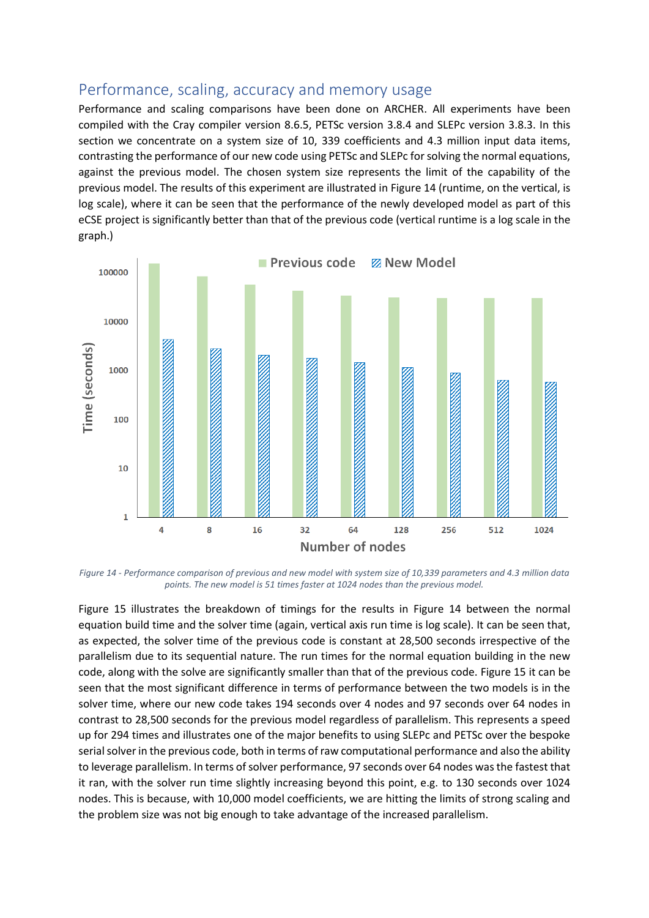#### Performance, scaling, accuracy and memory usage

Performance and scaling comparisons have been done on ARCHER. All experiments have been compiled with the Cray compiler version 8.6.5, PETSc version 3.8.4 and SLEPc version 3.8.3. In this section we concentrate on a system size of 10, 339 coefficients and 4.3 million input data items, contrasting the performance of our new code using PETSc and SLEPc for solving the normal equations, against the previous model. The chosen system size represents the limit of the capability of the previous model. The results of this experiment are illustrated in Figure 14 (runtime, on the vertical, is log scale), where it can be seen that the performance of the newly developed model as part of this eCSE project is significantly better than that of the previous code (vertical runtime is a log scale in the graph.)



*Figure 14 - Performance comparison of previous and new model with system size of 10,339 parameters and 4.3 million data points. The new model is 51 times faster at 1024 nodes than the previous model.*

Figure 15 illustrates the breakdown of timings for the results in Figure 14 between the normal equation build time and the solver time (again, vertical axis run time is log scale). It can be seen that, as expected, the solver time of the previous code is constant at 28,500 seconds irrespective of the parallelism due to its sequential nature. The run times for the normal equation building in the new code, along with the solve are significantly smaller than that of the previous code. Figure 15 it can be seen that the most significant difference in terms of performance between the two models is in the solver time, where our new code takes 194 seconds over 4 nodes and 97 seconds over 64 nodes in contrast to 28,500 seconds for the previous model regardless of parallelism. This represents a speed up for 294 times and illustrates one of the major benefits to using SLEPc and PETSc over the bespoke serial solver in the previous code, both in terms of raw computational performance and also the ability to leverage parallelism. In terms of solver performance, 97 seconds over 64 nodes was the fastest that it ran, with the solver run time slightly increasing beyond this point, e.g. to 130 seconds over 1024 nodes. This is because, with 10,000 model coefficients, we are hitting the limits of strong scaling and the problem size was not big enough to take advantage of the increased parallelism.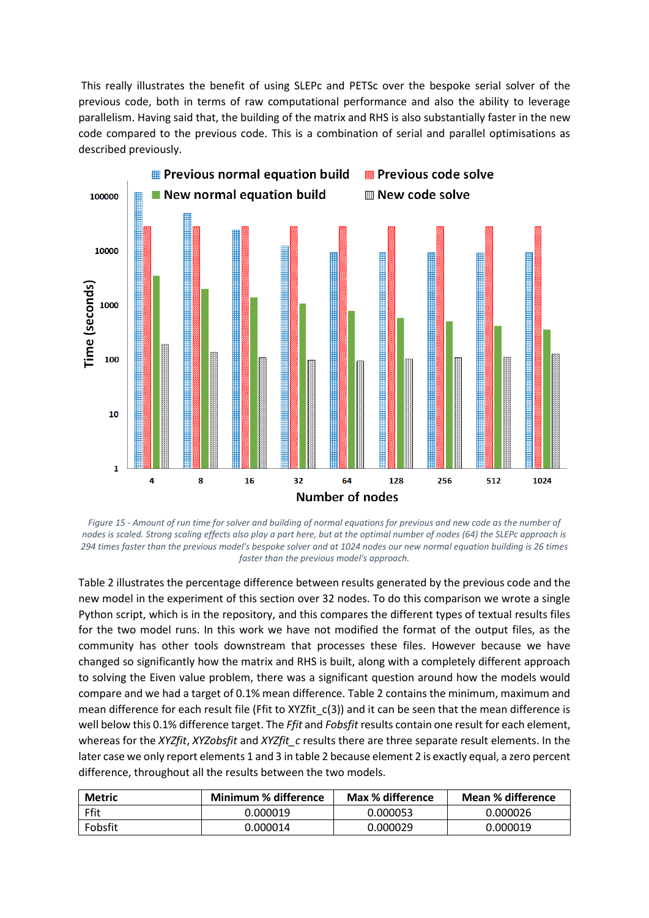This really illustrates the benefit of using SLEPc and PETSc over the bespoke serial solver of the previous code, both in terms of raw computational performance and also the ability to leverage parallelism. Having said that, the building of the matrix and RHS is also substantially faster in the new code compared to the previous code. This is a combination of serial and parallel optimisations as described previously.



*Figure 15 - Amount of run time for solver and building of normal equations for previous and new code as the number of nodes is scaled. Strong scaling effects also play a part here, but at the optimal number of nodes (64) the SLEPc approach is 294 times faster than the previous model's bespoke solver and at 1024 nodes our new normal equation building is 26 times faster than the previous model's approach.*

Table 2 illustrates the percentage difference between results generated by the previous code and the new model in the experiment of this section over 32 nodes. To do this comparison we wrote a single Python script, which is in the repository, and this compares the different types of textual results files for the two model runs. In this work we have not modified the format of the output files, as the community has other tools downstream that processes these files. However because we have changed so significantly how the matrix and RHS is built, along with a completely different approach to solving the Eiven value problem, there was a significant question around how the models would compare and we had a target of 0.1% mean difference. Table 2 contains the minimum, maximum and mean difference for each result file (Ffit to XYZfit\_c(3)) and it can be seen that the mean difference is well below this 0.1% difference target. The *Ffit* and *Fobsfit* results contain one result for each element, whereas for the *XYZfit*, *XYZobsfit* and *XYZfit\_c* results there are three separate result elements. In the later case we only report elements 1 and 3 in table 2 because element 2 is exactly equal, a zero percent difference, throughout all the results between the two models.

| <b>Metric</b> | Minimum % difference | Max % difference | Mean % difference |  |
|---------------|----------------------|------------------|-------------------|--|
| Ffit          | 0.000019             | 0.000053         | 0.000026          |  |
| Fobsfit       | 0.000014             | 0.000029         | 0.000019          |  |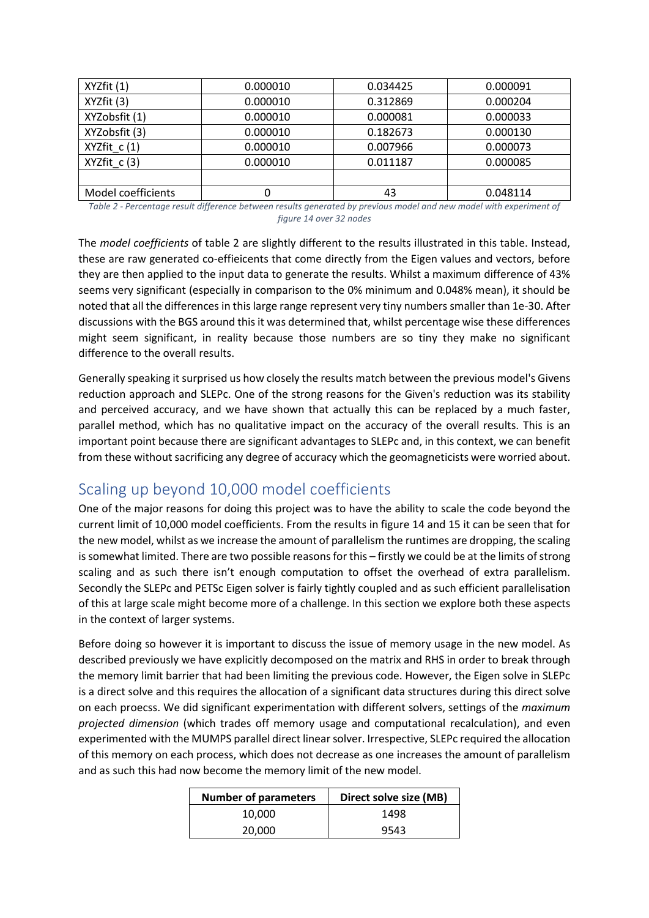| XYZfit (1)                | 0.000010 | 0.034425 | 0.000091 |
|---------------------------|----------|----------|----------|
| XYZfit (3)<br>0.000010    |          | 0.312869 | 0.000204 |
| XYZobsfit (1)<br>0.000010 |          | 0.000081 | 0.000033 |
| XYZobsfit (3)             | 0.000010 | 0.182673 | 0.000130 |
| $XYZfit_c(1)$             | 0.000010 | 0.007966 | 0.000073 |
| XYZfit c(3)               | 0.000010 | 0.011187 | 0.000085 |
|                           |          |          |          |
| Model coefficients        |          | 43       | 0.048114 |

*Table 2 - Percentage result difference between results generated by previous model and new model with experiment of figure 14 over 32 nodes*

The *model coefficients* of table 2 are slightly different to the results illustrated in this table. Instead, these are raw generated co-effieicents that come directly from the Eigen values and vectors, before they are then applied to the input data to generate the results. Whilst a maximum difference of 43% seems very significant (especially in comparison to the 0% minimum and 0.048% mean), it should be noted that all the differences in this large range represent very tiny numbers smaller than 1e-30. After discussions with the BGS around this it was determined that, whilst percentage wise these differences might seem significant, in reality because those numbers are so tiny they make no significant difference to the overall results.

Generally speaking it surprised us how closely the results match between the previous model's Givens reduction approach and SLEPc. One of the strong reasons for the Given's reduction was its stability and perceived accuracy, and we have shown that actually this can be replaced by a much faster, parallel method, which has no qualitative impact on the accuracy of the overall results. This is an important point because there are significant advantages to SLEPc and, in this context, we can benefit from these without sacrificing any degree of accuracy which the geomagneticists were worried about.

### Scaling up beyond 10,000 model coefficients

One of the major reasons for doing this project was to have the ability to scale the code beyond the current limit of 10,000 model coefficients. From the results in figure 14 and 15 it can be seen that for the new model, whilst as we increase the amount of parallelism the runtimes are dropping, the scaling is somewhat limited. There are two possible reasons for this – firstly we could be at the limits of strong scaling and as such there isn't enough computation to offset the overhead of extra parallelism. Secondly the SLEPc and PETSc Eigen solver is fairly tightly coupled and as such efficient parallelisation of this at large scale might become more of a challenge. In this section we explore both these aspects in the context of larger systems.

Before doing so however it is important to discuss the issue of memory usage in the new model. As described previously we have explicitly decomposed on the matrix and RHS in order to break through the memory limit barrier that had been limiting the previous code. However, the Eigen solve in SLEPc is a direct solve and this requires the allocation of a significant data structures during this direct solve on each proecss. We did significant experimentation with different solvers, settings of the *maximum projected dimension* (which trades off memory usage and computational recalculation), and even experimented with the MUMPS parallel direct linear solver. Irrespective, SLEPc required the allocation of this memory on each process, which does not decrease as one increases the amount of parallelism and as such this had now become the memory limit of the new model.

| <b>Number of parameters</b> | Direct solve size (MB) |
|-----------------------------|------------------------|
| 10.000                      | 1498                   |
| 20,000                      | 9543                   |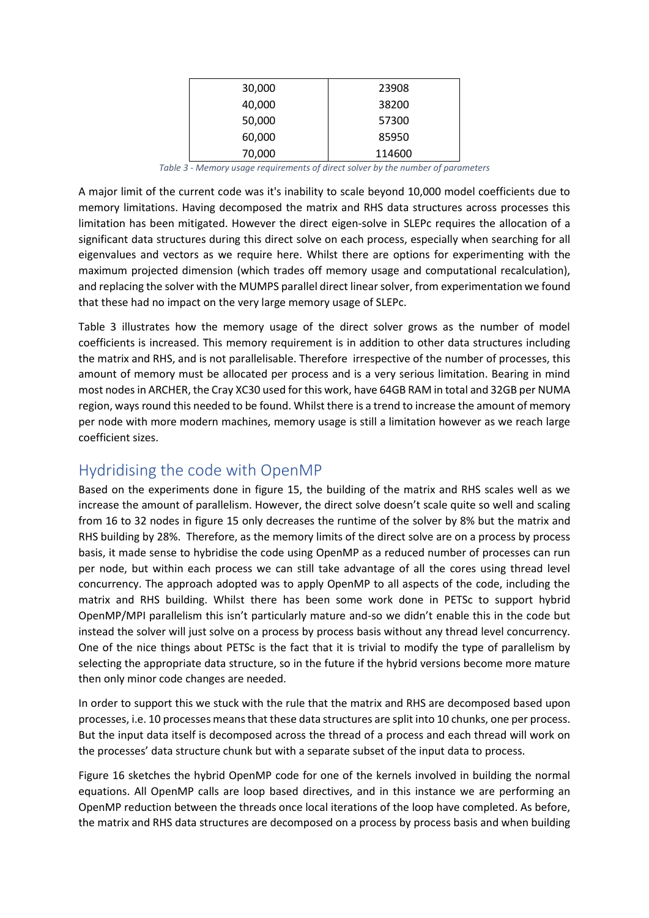| 30,000 | 23908  |
|--------|--------|
| 40,000 | 38200  |
| 50,000 | 57300  |
| 60,000 | 85950  |
| 70,000 | 114600 |

*Table 3 - Memory usage requirements of direct solver by the number of parameters*

A major limit of the current code was it's inability to scale beyond 10,000 model coefficients due to memory limitations. Having decomposed the matrix and RHS data structures across processes this limitation has been mitigated. However the direct eigen-solve in SLEPc requires the allocation of a significant data structures during this direct solve on each process, especially when searching for all eigenvalues and vectors as we require here. Whilst there are options for experimenting with the maximum projected dimension (which trades off memory usage and computational recalculation), and replacing the solver with the MUMPS parallel direct linear solver, from experimentation we found that these had no impact on the very large memory usage of SLEPc.

Table 3 illustrates how the memory usage of the direct solver grows as the number of model coefficients is increased. This memory requirement is in addition to other data structures including the matrix and RHS, and is not parallelisable. Therefore irrespective of the number of processes, this amount of memory must be allocated per process and is a very serious limitation. Bearing in mind most nodes in ARCHER, the Cray XC30 used for this work, have 64GB RAM in total and 32GB per NUMA region, ways round this needed to be found. Whilst there is a trend to increase the amount of memory per node with more modern machines, memory usage is still a limitation however as we reach large coefficient sizes.

#### Hydridising the code with OpenMP

Based on the experiments done in figure 15, the building of the matrix and RHS scales well as we increase the amount of parallelism. However, the direct solve doesn't scale quite so well and scaling from 16 to 32 nodes in figure 15 only decreases the runtime of the solver by 8% but the matrix and RHS building by 28%. Therefore, as the memory limits of the direct solve are on a process by process basis, it made sense to hybridise the code using OpenMP as a reduced number of processes can run per node, but within each process we can still take advantage of all the cores using thread level concurrency. The approach adopted was to apply OpenMP to all aspects of the code, including the matrix and RHS building. Whilst there has been some work done in PETSc to support hybrid OpenMP/MPI parallelism this isn't particularly mature and-so we didn't enable this in the code but instead the solver will just solve on a process by process basis without any thread level concurrency. One of the nice things about PETSc is the fact that it is trivial to modify the type of parallelism by selecting the appropriate data structure, so in the future if the hybrid versions become more mature then only minor code changes are needed.

In order to support this we stuck with the rule that the matrix and RHS are decomposed based upon processes, i.e. 10 processes means that these data structures are split into 10 chunks, one per process. But the input data itself is decomposed across the thread of a process and each thread will work on the processes' data structure chunk but with a separate subset of the input data to process.

Figure 16 sketches the hybrid OpenMP code for one of the kernels involved in building the normal equations. All OpenMP calls are loop based directives, and in this instance we are performing an OpenMP reduction between the threads once local iterations of the loop have completed. As before, the matrix and RHS data structures are decomposed on a process by process basis and when building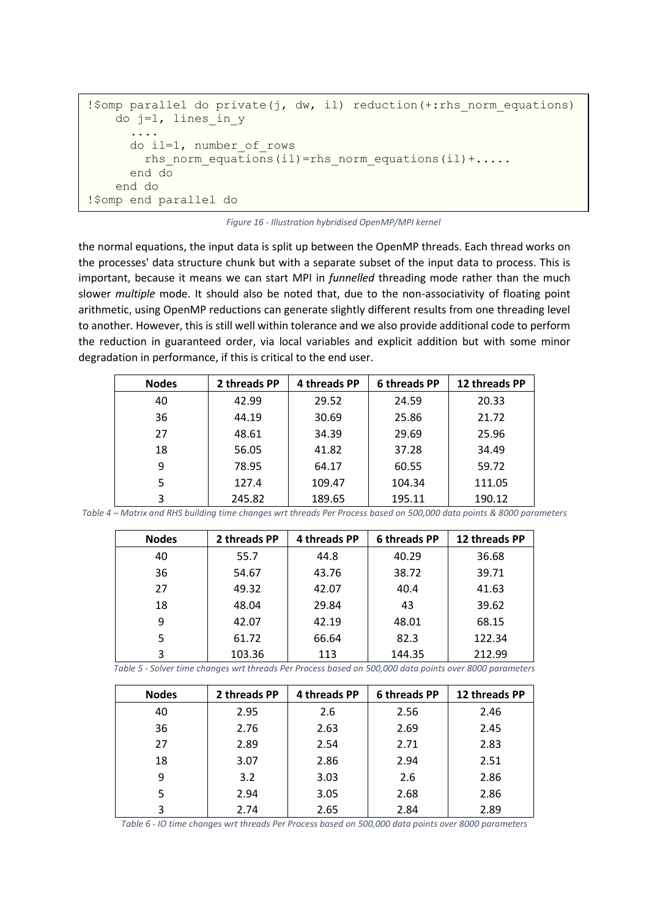```
!$omp parallel do private(j, dw, il) reduction(+:rhs norm equations)
   do j=1, lines in y
 ....
      do il=1, number_of_rows
       rhs norm equations(il)=rhs norm equations(il)+.....
      end do
    end do
!$omp end parallel do
```


the normal equations, the input data is split up between the OpenMP threads. Each thread works on the processes' data structure chunk but with a separate subset of the input data to process. This is important, because it means we can start MPI in *funnelled* threading mode rather than the much slower *multiple* mode. It should also be noted that, due to the non-associativity of floating point arithmetic, using OpenMP reductions can generate slightly different results from one threading level to another. However, this is still well within tolerance and we also provide additional code to perform the reduction in guaranteed order, via local variables and explicit addition but with some minor degradation in performance, if this is critical to the end user.

| <b>Nodes</b> | 2 threads PP | 4 threads PP | 6 threads PP | 12 threads PP |
|--------------|--------------|--------------|--------------|---------------|
| 40           | 42.99        | 29.52        | 24.59        | 20.33         |
| 36           | 44.19        | 30.69        | 25.86        | 21.72         |
| 27           | 48.61        | 34.39        | 29.69        | 25.96         |
| 18           | 56.05        | 41.82        | 37.28        | 34.49         |
| 9            | 78.95        | 64.17        | 60.55        | 59.72         |
| 5            | 127.4        | 109.47       | 104.34       | 111.05        |
| 3            | 245.82       | 189.65       | 195.11       | 190.12        |

*Table 4 – Matrix and RHS building time changes wrt threads Per Process based on 500,000 data points & 8000 parameters*

| <b>Nodes</b> | 2 threads PP | 4 threads PP | 6 threads PP | 12 threads PP |
|--------------|--------------|--------------|--------------|---------------|
| 40           | 55.7         | 44.8         | 40.29        | 36.68         |
| 36           | 54.67        | 43.76        | 38.72        | 39.71         |
| 27           | 49.32        | 42.07        | 40.4         | 41.63         |
| 18           | 48.04        | 29.84        | 43           | 39.62         |
| 9            | 42.07        | 42.19        | 48.01        | 68.15         |
| 5            | 61.72        | 66.64        | 82.3         | 122.34        |
| 3            | 103.36       | 113          | 144.35       | 212.99        |

*Table 5 - Solver time changes wrt threads Per Process based on 500,000 data points over 8000 parameters*

| <b>Nodes</b> | 2 threads PP | 4 threads PP | 6 threads PP | 12 threads PP |
|--------------|--------------|--------------|--------------|---------------|
| 40           | 2.95         | 2.6          | 2.56         | 2.46          |
| 36           | 2.76         | 2.63         | 2.69         | 2.45          |
| 27           | 2.89         | 2.54         | 2.71         | 2.83          |
| 18           | 3.07         | 2.86         | 2.94         | 2.51          |
| 9            | 3.2          | 3.03         | 2.6          | 2.86          |
| 5            | 2.94         | 3.05         | 2.68         | 2.86          |
| 3            | 2.74         | 2.65         | 2.84         | 2.89          |

*Table 6 - IO time changes wrt threads Per Process based on 500,000 data points over 8000 parameters*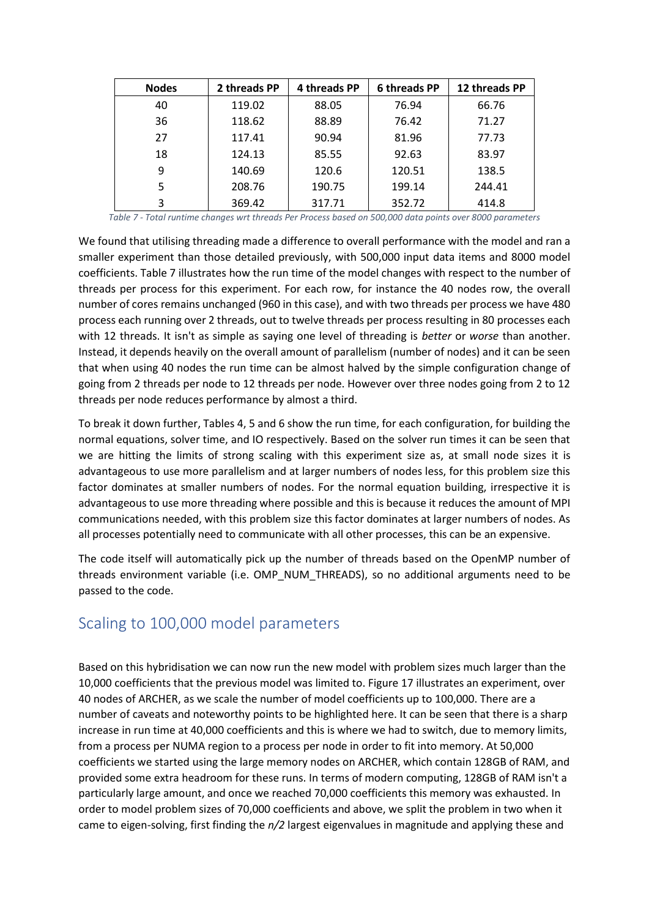| <b>Nodes</b> | 2 threads PP | 4 threads PP | 6 threads PP | 12 threads PP |
|--------------|--------------|--------------|--------------|---------------|
| 40           | 119.02       | 88.05        | 76.94        | 66.76         |
| 36           | 118.62       | 88.89        | 76.42        | 71.27         |
| 27           | 117.41       | 90.94        | 81.96        | 77.73         |
| 18           | 124.13       | 85.55        | 92.63        | 83.97         |
| 9            | 140.69       | 120.6        | 120.51       | 138.5         |
| 5            | 208.76       | 190.75       | 199.14       | 244.41        |
| 3            | 369.42       | 317.71       | 352.72       | 414.8         |

*Table 7 - Total runtime changes wrt threads Per Process based on 500,000 data points over 8000 parameters*

We found that utilising threading made a difference to overall performance with the model and ran a smaller experiment than those detailed previously, with 500,000 input data items and 8000 model coefficients. Table 7 illustrates how the run time of the model changes with respect to the number of threads per process for this experiment. For each row, for instance the 40 nodes row, the overall number of cores remains unchanged (960 in this case), and with two threads per process we have 480 process each running over 2 threads, out to twelve threads per process resulting in 80 processes each with 12 threads. It isn't as simple as saying one level of threading is *better* or *worse* than another. Instead, it depends heavily on the overall amount of parallelism (number of nodes) and it can be seen that when using 40 nodes the run time can be almost halved by the simple configuration change of going from 2 threads per node to 12 threads per node. However over three nodes going from 2 to 12 threads per node reduces performance by almost a third.

To break it down further, Tables 4, 5 and 6 show the run time, for each configuration, for building the normal equations, solver time, and IO respectively. Based on the solver run times it can be seen that we are hitting the limits of strong scaling with this experiment size as, at small node sizes it is advantageous to use more parallelism and at larger numbers of nodes less, for this problem size this factor dominates at smaller numbers of nodes. For the normal equation building, irrespective it is advantageous to use more threading where possible and this is because it reduces the amount of MPI communications needed, with this problem size this factor dominates at larger numbers of nodes. As all processes potentially need to communicate with all other processes, this can be an expensive.

The code itself will automatically pick up the number of threads based on the OpenMP number of threads environment variable (i.e. OMP\_NUM\_THREADS), so no additional arguments need to be passed to the code.

## Scaling to 100,000 model parameters

Based on this hybridisation we can now run the new model with problem sizes much larger than the 10,000 coefficients that the previous model was limited to. Figure 17 illustrates an experiment, over 40 nodes of ARCHER, as we scale the number of model coefficients up to 100,000. There are a number of caveats and noteworthy points to be highlighted here. It can be seen that there is a sharp increase in run time at 40,000 coefficients and this is where we had to switch, due to memory limits, from a process per NUMA region to a process per node in order to fit into memory. At 50,000 coefficients we started using the large memory nodes on ARCHER, which contain 128GB of RAM, and provided some extra headroom for these runs. In terms of modern computing, 128GB of RAM isn't a particularly large amount, and once we reached 70,000 coefficients this memory was exhausted. In order to model problem sizes of 70,000 coefficients and above, we split the problem in two when it came to eigen-solving, first finding the *n/2* largest eigenvalues in magnitude and applying these and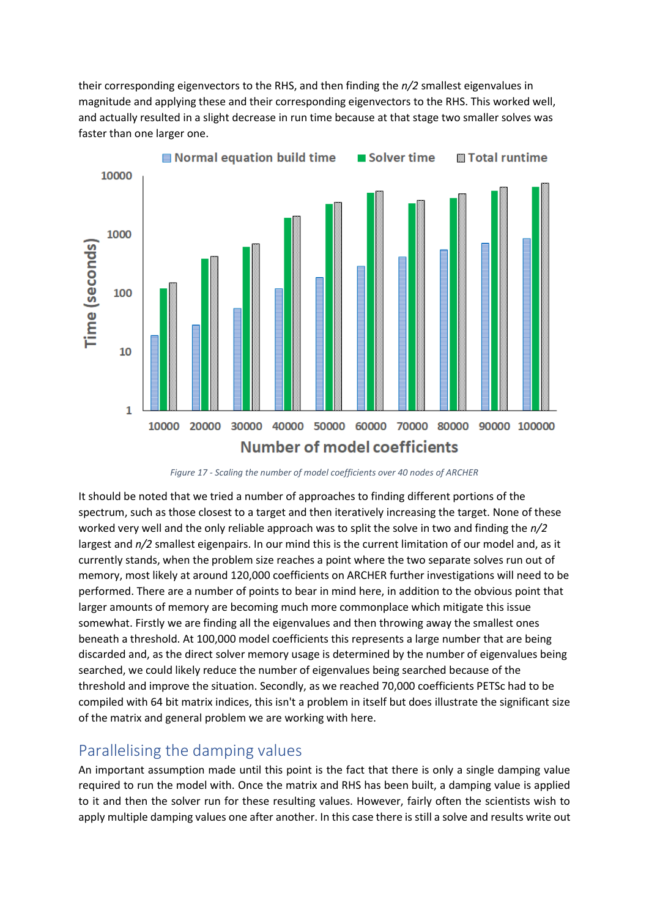their corresponding eigenvectors to the RHS, and then finding the *n/2* smallest eigenvalues in magnitude and applying these and their corresponding eigenvectors to the RHS. This worked well, and actually resulted in a slight decrease in run time because at that stage two smaller solves was faster than one larger one.



*Figure 17 - Scaling the number of model coefficients over 40 nodes of ARCHER*

It should be noted that we tried a number of approaches to finding different portions of the spectrum, such as those closest to a target and then iteratively increasing the target. None of these worked very well and the only reliable approach was to split the solve in two and finding the *n/2* largest and *n/2* smallest eigenpairs. In our mind this is the current limitation of our model and, as it currently stands, when the problem size reaches a point where the two separate solves run out of memory, most likely at around 120,000 coefficients on ARCHER further investigations will need to be performed. There are a number of points to bear in mind here, in addition to the obvious point that larger amounts of memory are becoming much more commonplace which mitigate this issue somewhat. Firstly we are finding all the eigenvalues and then throwing away the smallest ones beneath a threshold. At 100,000 model coefficients this represents a large number that are being discarded and, as the direct solver memory usage is determined by the number of eigenvalues being searched, we could likely reduce the number of eigenvalues being searched because of the threshold and improve the situation. Secondly, as we reached 70,000 coefficients PETSc had to be compiled with 64 bit matrix indices, this isn't a problem in itself but does illustrate the significant size of the matrix and general problem we are working with here.

#### Parallelising the damping values

An important assumption made until this point is the fact that there is only a single damping value required to run the model with. Once the matrix and RHS has been built, a damping value is applied to it and then the solver run for these resulting values. However, fairly often the scientists wish to apply multiple damping values one after another. In this case there is still a solve and results write out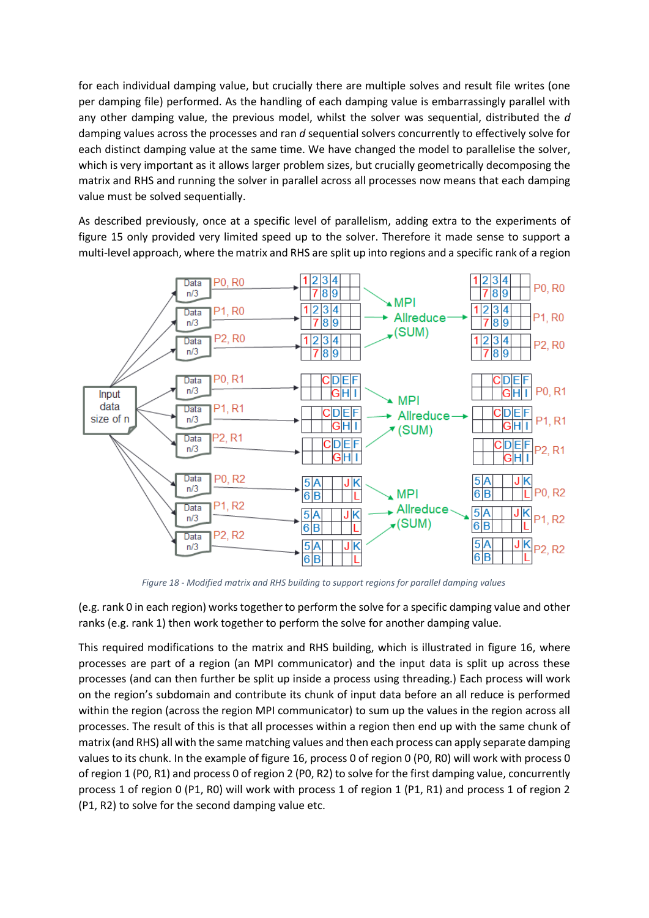for each individual damping value, but crucially there are multiple solves and result file writes (one per damping file) performed. As the handling of each damping value is embarrassingly parallel with any other damping value, the previous model, whilst the solver was sequential, distributed the *d* damping values across the processes and ran *d* sequential solvers concurrently to effectively solve for each distinct damping value at the same time. We have changed the model to parallelise the solver, which is very important as it allows larger problem sizes, but crucially geometrically decomposing the matrix and RHS and running the solver in parallel across all processes now means that each damping value must be solved sequentially.

As described previously, once at a specific level of parallelism, adding extra to the experiments of figure 15 only provided very limited speed up to the solver. Therefore it made sense to support a multi-level approach, where the matrix and RHS are split up into regions and a specific rank of a region



*Figure 18 - Modified matrix and RHS building to support regions for parallel damping values*

(e.g. rank 0 in each region) works together to perform the solve for a specific damping value and other ranks (e.g. rank 1) then work together to perform the solve for another damping value.

This required modifications to the matrix and RHS building, which is illustrated in figure 16, where processes are part of a region (an MPI communicator) and the input data is split up across these processes (and can then further be split up inside a process using threading.) Each process will work on the region's subdomain and contribute its chunk of input data before an all reduce is performed within the region (across the region MPI communicator) to sum up the values in the region across all processes. The result of this is that all processes within a region then end up with the same chunk of matrix (and RHS) all with the same matching values and then each process can apply separate damping values to its chunk. In the example of figure 16, process 0 of region 0 (P0, R0) will work with process 0 of region 1 (P0, R1) and process 0 of region 2 (P0, R2) to solve for the first damping value, concurrently process 1 of region 0 (P1, R0) will work with process 1 of region 1 (P1, R1) and process 1 of region 2 (P1, R2) to solve for the second damping value etc.